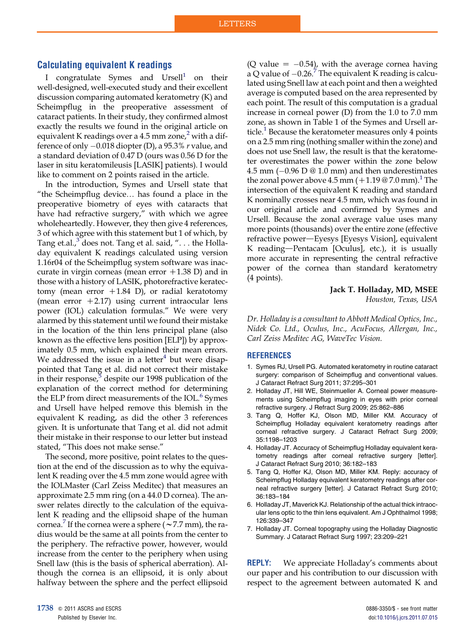## Calculating equivalent K readings

I congratulate Symes and  $Ursell<sup>1</sup>$  on their well-designed, well-executed study and their excellent discussion comparing automated keratometry (K) and Scheimpflug in the preoperative assessment of cataract patients. In their study, they confirmed almost exactly the results we found in the original article on equivalent K readings over a 4.5 mm zone,<sup>2</sup> with a difference of only  $-0.018$  diopter (D), a 95.3% r value, and a standard deviation of 0.47 D (ours was 0.56 D for the laser in situ keratomileusis [LASIK] patients). I would like to comment on 2 points raised in the article.

In the introduction, Symes and Ursell state that "the Scheimpflug device. has found a place in the preoperative biometry of eyes with cataracts that have had refractive surgery," with which we agree wholeheartedly. However, they then give 4 references, 3 of which agree with this statement but 1 of which, by Tang et.al., $3$  does not. Tang et al. said, "... the Holladay equivalent K readings calculated using version 1.16r04 of the Scheimpflug system software was inaccurate in virgin corneas (mean error  $+1.38$  D) and in those with a history of LASIK, photorefractive keratectomy (mean error  $+1.84$  D), or radial keratotomy (mean error  $+2.17$ ) using current intraocular lens power (IOL) calculation formulas." We were very alarmed by this statement until we found their mistake in the location of the thin lens principal plane (also known as the effective lens position [ELP]) by approximately 0.5 mm, which explained their mean errors. We addressed the issue in a letter<sup>4</sup> but were disappointed that Tang et al. did not correct their mistake in their response, $5$  despite our 1998 publication of the explanation of the correct method for determining the ELP from direct measurements of the IOL.<sup>6</sup> Symes and Ursell have helped remove this blemish in the equivalent K reading, as did the other 3 references given. It is unfortunate that Tang et al. did not admit their mistake in their response to our letter but instead stated, "This does not make sense."

The second, more positive, point relates to the question at the end of the discussion as to why the equivalent K reading over the 4.5 mm zone would agree with the IOLMaster (Carl Zeiss Meditec) that measures an approximate 2.5 mm ring (on a 44.0 D cornea). The answer relates directly to the calculation of the equivalent K reading and the ellipsoid shape of the human cornea.<sup>7</sup> If the cornea were a sphere ( $\sim$  7.7 mm), the radius would be the same at all points from the center to the periphery. The refractive power, however, would increase from the center to the periphery when using Snell law (this is the basis of spherical aberration). Although the cornea is an ellipsoid, it is only about halfway between the sphere and the perfect ellipsoid

(Q value  $= -0.54$ ), with the average cornea having a Q value of  $-0.26$ .<sup>7</sup> The equivalent K reading is calculated using Snell law at each point and then a weighted average is computed based on the area represented by each point. The result of this computation is a gradual increase in corneal power (D) from the 1.0 to 7.0 mm zone, as shown in Table 1 of the Symes and Ursell article.<sup>1</sup> Because the keratometer measures only 4 points on a 2.5 mm ring (nothing smaller within the zone) and does not use Snell law, the result is that the keratometer overestimates the power within the zone below 4.5 mm  $(-0.96 \text{ D} \otimes 1.0 \text{ mm})$  and then underestimates the zonal power above  $4.5$  mm  $(+1.19 \& 7.0$  mm).<sup>1</sup> The intersection of the equivalent K reading and standard K nominally crosses near 4.5 mm, which was found in our original article and confirmed by Symes and Ursell. Because the zonal average value uses many more points (thousands) over the entire zone (effective refractive power—Eyesys [Eyesys Vision], equivalent K reading-Pentacam [Oculus], etc.), it is usually more accurate in representing the central refractive power of the cornea than standard keratometry (4 points).

Jack T. Holladay, MD, MSEE

Houston, Texas, USA

Dr. Holladay is a consultant to Abbott Medical Optics, Inc., Nidek Co. Ltd., Oculus, Inc., AcuFocus, Allergan, Inc., Carl Zeiss Meditec AG, WaveTec Vision.

## **REFERENCES**

- 1. Symes RJ, Ursell PG. Automated keratometry in routine cataract surgery: comparison of Scheimpflug and conventional values. J Cataract Refract Surg 2011; 37:295–301
- 2. Holladay JT, Hill WE, Steinmueller A. Corneal power measurements using Scheimpflug imaging in eyes with prior corneal refractive surgery. J Refract Surg 2009; 25:862–886
- 3. Tang Q, Hoffer KJ, Olson MD, Miller KM. Accuracy of Scheimpflug Holladay equivalent keratometry readings after corneal refractive surgery. J Cataract Refract Surg 2009; 35:1198–1203
- 4. Holladay JT. Accuracy of Scheimpflug Holladay equivalent keratometry readings after corneal refractive surgery [letter]. J Cataract Refract Surg 2010; 36:182–183
- 5. Tang Q, Hoffer KJ, Olson MD, Miller KM. Reply: accuracy of Scheimpflug Holladay equivalent keratometry readings after corneal refractive surgery [letter]. J Cataract Refract Surg 2010; 36:183–184
- 6. Holladay JT, Maverick KJ. Relationship of the actual thick intraocular lens optic to the thin lens equivalent. Am J Ophthalmol 1998; 126:339–347
- 7. Holladay JT. Corneal topography using the Holladay Diagnostic Summary. J Cataract Refract Surg 1997; 23:209–221

**REPLY:** We appreciate Holladay's comments about our paper and his contribution to our discussion with respect to the agreement between automated K and